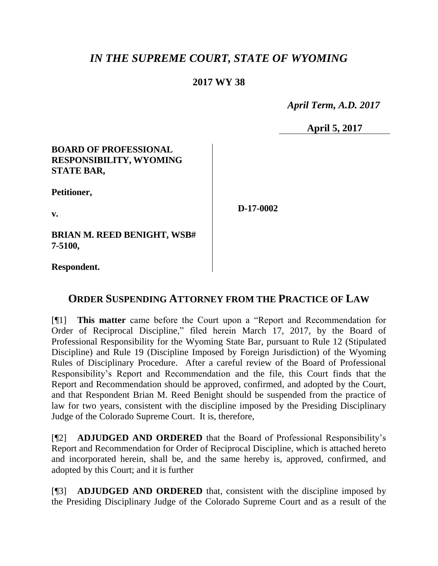## *IN THE SUPREME COURT, STATE OF WYOMING*

## **2017 WY 38**

 *April Term, A.D. 2017*

**April 5, 2017**

#### **BOARD OF PROFESSIONAL RESPONSIBILITY, WYOMING STATE BAR,**

**Petitioner,**

**v.**

**D-17-0002**

**BRIAN M. REED BENIGHT, WSB# 7-5100,**

**Respondent.**

## **ORDER SUSPENDING ATTORNEY FROM THE PRACTICE OF LAW**

[¶1] **This matter** came before the Court upon a "Report and Recommendation for Order of Reciprocal Discipline," filed herein March 17, 2017, by the Board of Professional Responsibility for the Wyoming State Bar, pursuant to Rule 12 (Stipulated Discipline) and Rule 19 (Discipline Imposed by Foreign Jurisdiction) of the Wyoming Rules of Disciplinary Procedure. After a careful review of the Board of Professional Responsibility's Report and Recommendation and the file, this Court finds that the Report and Recommendation should be approved, confirmed, and adopted by the Court, and that Respondent Brian M. Reed Benight should be suspended from the practice of law for two years, consistent with the discipline imposed by the Presiding Disciplinary Judge of the Colorado Supreme Court. It is, therefore,

[¶2] **ADJUDGED AND ORDERED** that the Board of Professional Responsibility's Report and Recommendation for Order of Reciprocal Discipline, which is attached hereto and incorporated herein, shall be, and the same hereby is, approved, confirmed, and adopted by this Court; and it is further

[¶3] **ADJUDGED AND ORDERED** that, consistent with the discipline imposed by the Presiding Disciplinary Judge of the Colorado Supreme Court and as a result of the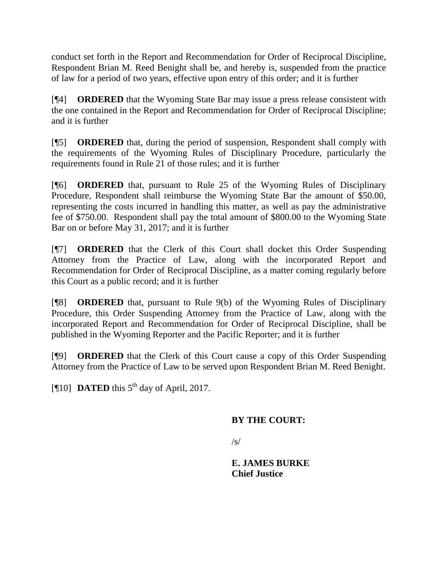conduct set forth in the Report and Recommendation for Order of Reciprocal Discipline, Respondent Brian M. Reed Benight shall be, and hereby is, suspended from the practice of law for a period of two years, effective upon entry of this order; and it is further

[¶4] **ORDERED** that the Wyoming State Bar may issue a press release consistent with the one contained in the Report and Recommendation for Order of Reciprocal Discipline; and it is further

[¶5] **ORDERED** that, during the period of suspension, Respondent shall comply with the requirements of the Wyoming Rules of Disciplinary Procedure, particularly the requirements found in Rule 21 of those rules; and it is further

[¶6] **ORDERED** that, pursuant to Rule 25 of the Wyoming Rules of Disciplinary Procedure, Respondent shall reimburse the Wyoming State Bar the amount of \$50.00, representing the costs incurred in handling this matter, as well as pay the administrative fee of \$750.00. Respondent shall pay the total amount of \$800.00 to the Wyoming State Bar on or before May 31, 2017; and it is further

[¶7] **ORDERED** that the Clerk of this Court shall docket this Order Suspending Attorney from the Practice of Law, along with the incorporated Report and Recommendation for Order of Reciprocal Discipline, as a matter coming regularly before this Court as a public record; and it is further

[¶8] **ORDERED** that, pursuant to Rule 9(b) of the Wyoming Rules of Disciplinary Procedure, this Order Suspending Attorney from the Practice of Law, along with the incorporated Report and Recommendation for Order of Reciprocal Discipline, shall be published in the Wyoming Reporter and the Pacific Reporter; and it is further

[¶9] **ORDERED** that the Clerk of this Court cause a copy of this Order Suspending Attorney from the Practice of Law to be served upon Respondent Brian M. Reed Benight.

[ $\llbracket 10 \rrbracket$  **DATED** this  $5<sup>th</sup>$  day of April, 2017.

#### **BY THE COURT:**

 $\sqrt{s}$ 

**E. JAMES BURKE Chief Justice**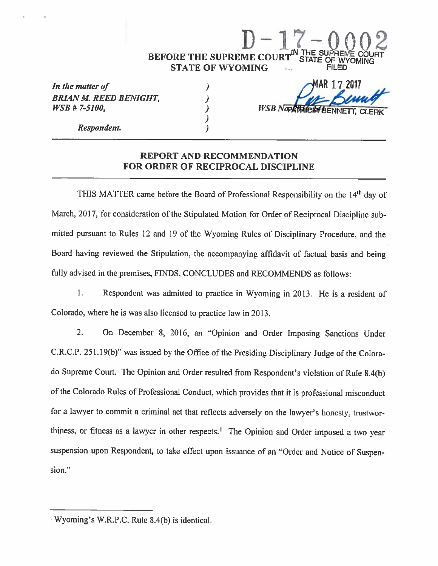# D-17-0 02 BEFORE THE SUPREME COURT" STATE OF WY **STATE OF WYOMING**

In the matter of BRIAN M. REED BENIGHT, WSB # 7-5100,

4AR 1 7 2017 **WSB** Napp

Respondent.

#### REPORT AND RECOMMENDATION FOR ORDER OF RECIPROCAL DISCIPLINE

 $\lambda$  $\lambda$ 

 $\overline{)}$  $\lambda$ 

THIS MATTER came before the Board of Professional Responsibility on the 14<sup>th</sup> day of March, 2017, for consideration of the Stipulated Motion for Order of Reciprocal Discipline submitted pursuant to Rules 12 and 19 of the Wyoming Rules of Disciplinary Procedure, and the Board having reviewed the Stipulation, the accompanying affidavit of factual basis and being fully advised in the premises, FINDS, CONCLUDES and RECOMMENDS as follows:

1. Respondent was admitted to practice in Wyoming in 2013. He is a resident of Colorado, where he is was also licensed to practice law in 2013.

2. On December 8, 2016, an "Opinion and Order Imposing Sanctions Under C.R.C.P. 251.19(b)" was issued by the Office of the Presiding Disciplinary Judge of the Colorado Supreme Court. The Opinion and Order resulted from Respondent's violation of RuIe 8.4(b) of the Colorado Rules of Professional Conduct, which provides that it is professional misconduct for a lawyer to commit a criminal act that reflects adversely on the lawyer's honesty, trustworthiness, or fitness as a lawyer in other respects.' The Opinion and Order imposed a two year suspension upon Respondent, to take effect upon issuance of an "Order and Notice of Suspension."

iWyoming's W.R.P.C. RuIe 8.4(b) is identical.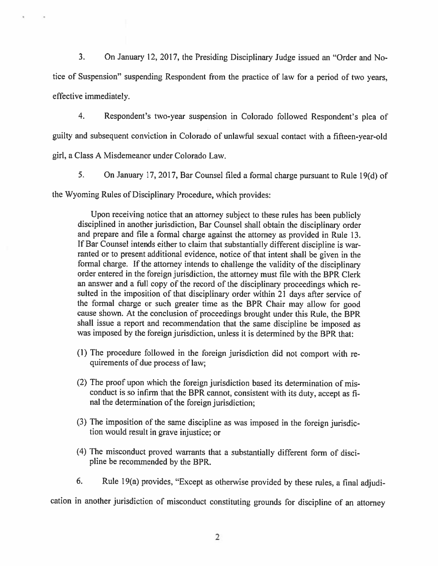3. On January 12, 2017, the Presiding Disciplinary Judge issued an "Order and Notice of Suspension?' suspending Respondent from the practice of law for a period of two years, effective immediately.

4. Respondent's two-year suspension in Colorado followed Respondent's plea of guilty and subsequent conviction in Colorado of unlawful sexual contact with a fifteen-year-old

girl, a Class A Misdemeanor under Colorado Law.

5. On January 17, 2017, Bar Counsel filed a formal charge pursuant to Rule 19(d) of

the Wyoming Rules of Disciplinary Procedure, which provides:

Upon receiving notice that an attorney subject to these rules has been publicly disciplined in another jurisdiction, Bar Counsel shall obtain the disciplinary order and prepare and file a formal charge against the attorney as provided in Rule 13. If Bar Counsel intends either to claim that substantially different discipline is warranted or to present additional evidence, notice of that intent shall be given in the formal charge. If the attorney intends to challenge the validity of the disciplinary order entered in the foreign jurisdiction, the attorney must file with the BPR Clerk an answer and a full copy of the record of the disciplinary proceedings which resulted in the imposition of that disciplinary order within 21 days after service of the formal charge or such greater time as the BPR Chair may allow for good cause shown. At the conclusion of proceedings brought under this Rule, the BPR shall issue a report and recommendation that the same discipline be imposed as was imposed by the foreign jurisdiction, unless it is determined by the BPR that:

- (1) The procedure followed in the foreign jurisdiction did not comport with requirements of due process of law;
- (2) The proof upon which the foreign jurisdiction based its determination of misconduct is so infirm that the BPR cannot, consistent with its duty, accept as final the determination of the foreign jurisdiction;
- (3) The imposition of the same discipline as was imposed in the foreign jurisdiction would result in grave injustice; or
- (4) The misconduct proved warrants that a substantially different form of discipline be recommended by the BPR.
- 6. Rule I 9(a) provides, "Except as otherwise provided by these rules, a final adjudi-

cation in another jurisdiction of misconduct constituting grounds for discipline of an attorney